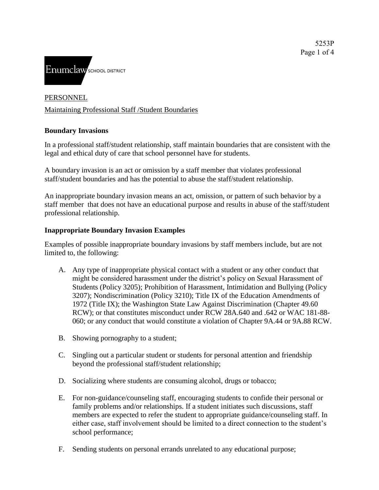

### PERSONNEL

### Maintaining Professional Staff /Student Boundaries

### **Boundary Invasions**

In a professional staff/student relationship, staff maintain boundaries that are consistent with the legal and ethical duty of care that school personnel have for students.

A boundary invasion is an act or omission by a staff member that violates professional staff/student boundaries and has the potential to abuse the staff/student relationship.

An inappropriate boundary invasion means an act, omission, or pattern of such behavior by a staff member that does not have an educational purpose and results in abuse of the staff/student professional relationship.

#### **Inappropriate Boundary Invasion Examples**

Examples of possible inappropriate boundary invasions by staff members include, but are not limited to, the following:

- A. Any type of inappropriate physical contact with a student or any other conduct that might be considered harassment under the district's policy on Sexual Harassment of Students (Policy 3205); Prohibition of Harassment, Intimidation and Bullying (Policy 3207); Nondiscrimination (Policy 3210); Title IX of the Education Amendments of 1972 (Title IX); the Washington State Law Against Discrimination (Chapter 49.60 RCW); or that constitutes misconduct under RCW 28A.640 and .642 or WAC 181-88- 060; or any conduct that would constitute a violation of Chapter 9A.44 or 9A.88 RCW.
- B. Showing pornography to a student;
- C. Singling out a particular student or students for personal attention and friendship beyond the professional staff/student relationship;
- D. Socializing where students are consuming alcohol, drugs or tobacco;
- E. For non-guidance/counseling staff, encouraging students to confide their personal or family problems and/or relationships. If a student initiates such discussions, staff members are expected to refer the student to appropriate guidance/counseling staff. In either case, staff involvement should be limited to a direct connection to the student's school performance;
- F. Sending students on personal errands unrelated to any educational purpose;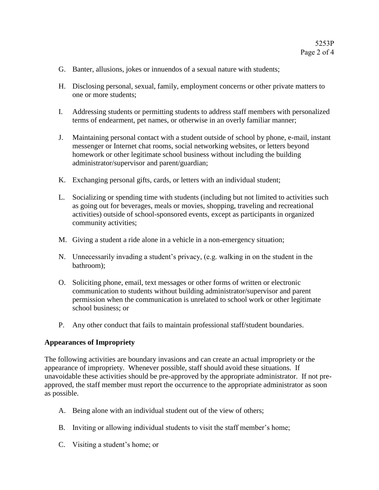- G. Banter, allusions, jokes or innuendos of a sexual nature with students;
- H. Disclosing personal, sexual, family, employment concerns or other private matters to one or more students;
- I. Addressing students or permitting students to address staff members with personalized terms of endearment, pet names, or otherwise in an overly familiar manner;
- J. Maintaining personal contact with a student outside of school by phone, e-mail, instant messenger or Internet chat rooms, social networking websites, or letters beyond homework or other legitimate school business without including the building administrator/supervisor and parent/guardian;
- K. Exchanging personal gifts, cards, or letters with an individual student;
- L. Socializing or spending time with students (including but not limited to activities such as going out for beverages, meals or movies, shopping, traveling and recreational activities) outside of school-sponsored events, except as participants in organized community activities;
- M. Giving a student a ride alone in a vehicle in a non-emergency situation;
- N. Unnecessarily invading a student's privacy, (e.g. walking in on the student in the bathroom);
- O. Soliciting phone, email, text messages or other forms of written or electronic communication to students without building administrator/supervisor and parent permission when the communication is unrelated to school work or other legitimate school business; or
- P. Any other conduct that fails to maintain professional staff/student boundaries.

#### **Appearances of Impropriety**

The following activities are boundary invasions and can create an actual impropriety or the appearance of impropriety. Whenever possible, staff should avoid these situations. If unavoidable these activities should be pre-approved by the appropriate administrator. If not preapproved, the staff member must report the occurrence to the appropriate administrator as soon as possible.

- A. Being alone with an individual student out of the view of others;
- B. Inviting or allowing individual students to visit the staff member's home;
- C. Visiting a student's home; or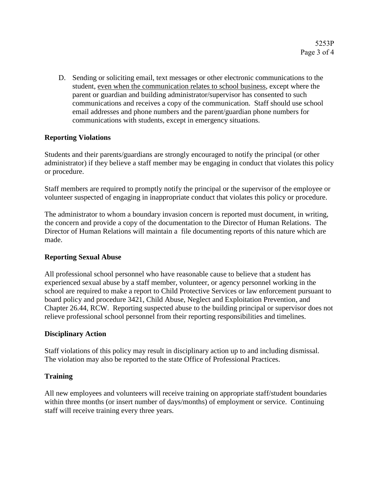D. Sending or soliciting email, text messages or other electronic communications to the student, even when the communication relates to school business, except where the parent or guardian and building administrator/supervisor has consented to such communications and receives a copy of the communication. Staff should use school email addresses and phone numbers and the parent/guardian phone numbers for communications with students, except in emergency situations.

## **Reporting Violations**

Students and their parents/guardians are strongly encouraged to notify the principal (or other administrator) if they believe a staff member may be engaging in conduct that violates this policy or procedure.

Staff members are required to promptly notify the principal or the supervisor of the employee or volunteer suspected of engaging in inappropriate conduct that violates this policy or procedure.

The administrator to whom a boundary invasion concern is reported must document, in writing, the concern and provide a copy of the documentation to the Director of Human Relations. The Director of Human Relations will maintain a file documenting reports of this nature which are made.

## **Reporting Sexual Abuse**

All professional school personnel who have reasonable cause to believe that a student has experienced sexual abuse by a staff member, volunteer, or agency personnel working in the school are required to make a report to Child Protective Services or law enforcement pursuant to [board policy](http://www.boarddocs.com/wa/wssda/Board.nsf/goto?open&id=8U6VHC808EE1) and [procedure 3421, Child Abuse, Neglect and Exploitation Prevention,](http://www.boarddocs.com/wa/wssda/Board.nsf/goto?open&id=8U6VHP8099CA) and [Chapter 26.44,](http://apps.leg.wa.gov/rcw/default.aspx?cite=26.44) RCW. Reporting suspected abuse to the building principal or supervisor does not relieve professional school personnel from their reporting responsibilities and timelines.

## **Disciplinary Action**

Staff violations of this policy may result in disciplinary action up to and including dismissal. The violation may also be reported to the state Office of Professional Practices.

## **Training**

All new employees and volunteers will receive training on appropriate staff/student boundaries within three months (or insert number of days/months) of employment or service. Continuing staff will receive training every three years.